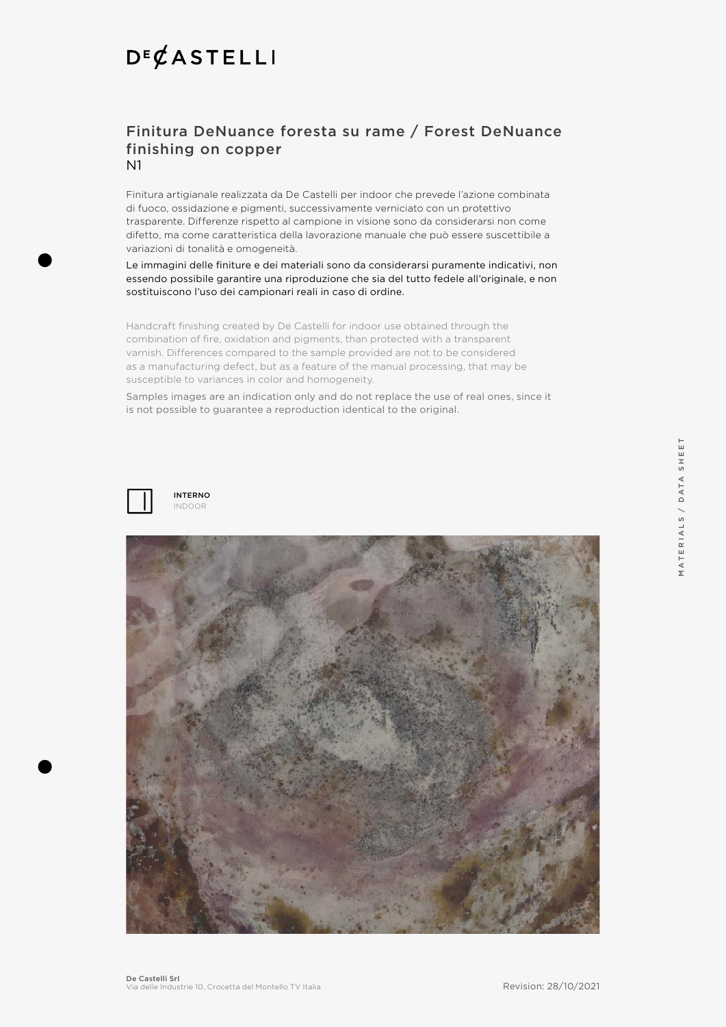## DECASTELLI

### Finitura DeNuance foresta su rame / Forest DeNuance finishing on copper N1

Finitura artigianale realizzata da De Castelli per indoor che prevede l'azione combinata di fuoco, ossidazione e pigmenti, successivamente verniciato con un protettivo trasparente. Differenze rispetto al campione in visione sono da considerarsi non come difetto, ma come caratteristica della lavorazione manuale che può essere suscettibile a variazioni di tonalità e omogeneità.

Le immagini delle finiture e dei materiali sono da considerarsi puramente indicativi, non essendo possibile garantire una riproduzione che sia del tutto fedele all'originale, e non sostituiscono l'uso dei campionari reali in caso di ordine.

Handcraft finishing created by De Castelli for indoor use obtained through the combination of fire, oxidation and pigments, than protected with a transparent varnish. Differences compared to the sample provided are not to be considered as a manufacturing defect, but as a feature of the manual processing, that may be susceptible to variances in color and homogeneity.

Samples images are an indication only and do not replace the use of real ones, since it is not possible to guarantee a reproduction identical to the original.



INTERNO INDOOR